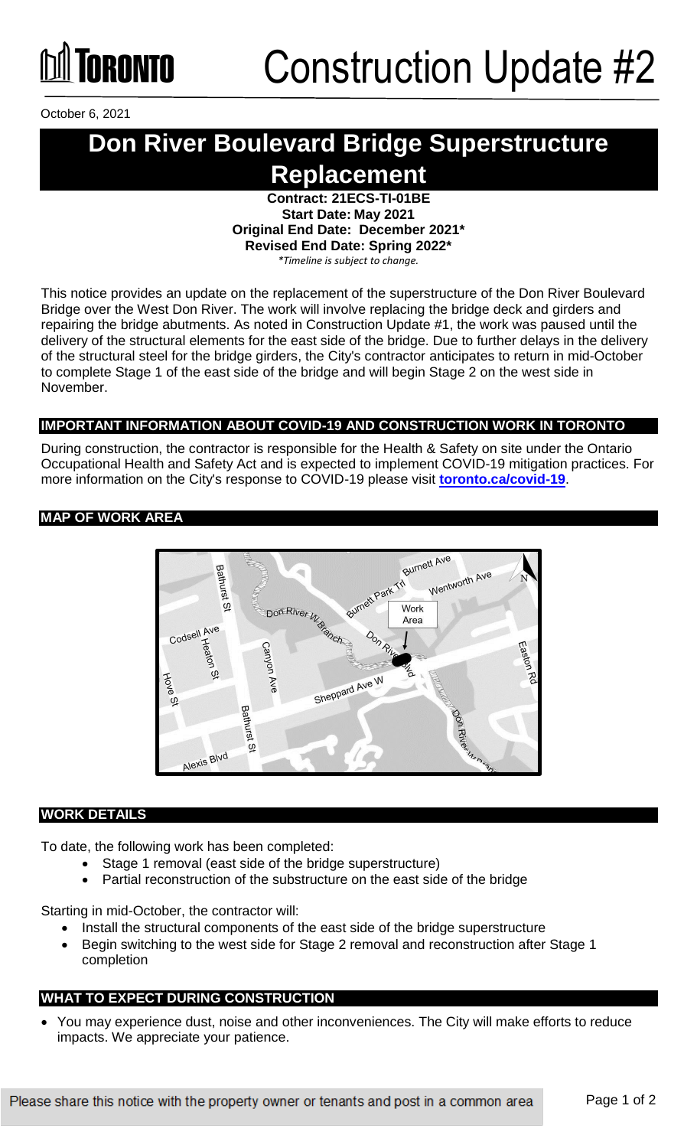

October 6, 2021

### **Don River Boulevard Bridge Superstructure Replacement**

**Contract: 21ECS-TI-01BE Start Date: May 2021 Original End Date: December 2021\* Revised End Date: Spring 2022\*** 

*\*Timeline is subject to change.*

This notice provides an update on the replacement of the superstructure of the Don River Boulevard Bridge over the West Don River. The work will involve replacing the bridge deck and girders and repairing the bridge abutments. As noted in Construction Update #1, the work was paused until the delivery of the structural elements for the east side of the bridge. Due to further delays in the delivery of the structural steel for the bridge girders, the City's contractor anticipates to return in mid-October to complete Stage 1 of the east side of the bridge and will begin Stage 2 on the west side in November.

#### **IMPORTANT INFORMATION ABOUT COVID-19 AND CONSTRUCTION WORK IN TORONTO**

During construction, the contractor is responsible for the Health & Safety on site under the Ontario Occupational Health and Safety Act and is expected to implement COVID-19 mitigation practices. For more information on the City's response to COVID-19 please visit **[toronto.ca/covid-19](http://www.toronto.ca/covid-19)**.

#### **MAP OF WORK AREA**



#### **WORK DETAILS**

To date, the following work has been completed:

- Stage 1 removal (east side of the bridge superstructure)
- Partial reconstruction of the substructure on the east side of the bridge

Starting in mid-October, the contractor will:

- Install the structural components of the east side of the bridge superstructure
- Begin switching to the west side for Stage 2 removal and reconstruction after Stage 1 completion

#### **WHAT TO EXPECT DURING CONSTRUCTION**

 You may experience dust, noise and other inconveniences. The City will make efforts to reduce impacts. We appreciate your patience.